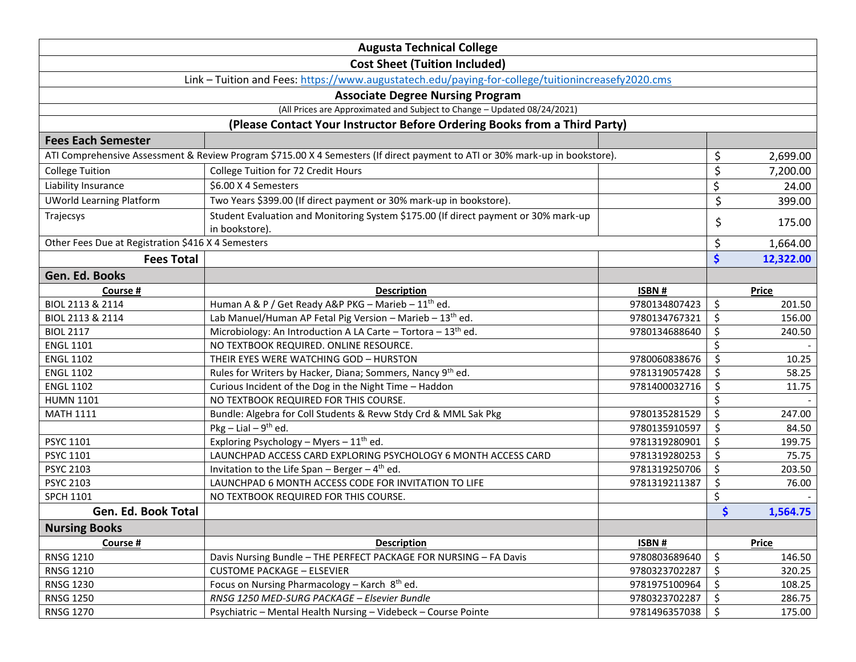| <b>Augusta Technical College</b>                                                                                             |                                                                                     |               |    |              |  |  |  |
|------------------------------------------------------------------------------------------------------------------------------|-------------------------------------------------------------------------------------|---------------|----|--------------|--|--|--|
| <b>Cost Sheet (Tuition Included)</b>                                                                                         |                                                                                     |               |    |              |  |  |  |
| Link - Tuition and Fees: https://www.augustatech.edu/paying-for-college/tuitionincreasefy2020.cms                            |                                                                                     |               |    |              |  |  |  |
| <b>Associate Degree Nursing Program</b>                                                                                      |                                                                                     |               |    |              |  |  |  |
| (All Prices are Approximated and Subject to Change - Updated 08/24/2021)                                                     |                                                                                     |               |    |              |  |  |  |
| (Please Contact Your Instructor Before Ordering Books from a Third Party)                                                    |                                                                                     |               |    |              |  |  |  |
| <b>Fees Each Semester</b>                                                                                                    |                                                                                     |               |    |              |  |  |  |
| ATI Comprehensive Assessment & Review Program \$715.00 X 4 Semesters (If direct payment to ATI or 30% mark-up in bookstore). |                                                                                     |               | \$ | 2,699.00     |  |  |  |
| <b>College Tuition</b>                                                                                                       | College Tuition for 72 Credit Hours                                                 |               | \$ | 7,200.00     |  |  |  |
| Liability Insurance                                                                                                          | \$6.00 X 4 Semesters                                                                |               | \$ | 24.00        |  |  |  |
| <b>UWorld Learning Platform</b>                                                                                              | Two Years \$399.00 (If direct payment or 30% mark-up in bookstore).                 |               | \$ | 399.00       |  |  |  |
| Trajecsys                                                                                                                    | Student Evaluation and Monitoring System \$175.00 (If direct payment or 30% mark-up |               |    |              |  |  |  |
|                                                                                                                              | in bookstore).                                                                      |               | \$ | 175.00       |  |  |  |
| Other Fees Due at Registration \$416 X 4 Semesters                                                                           |                                                                                     |               | \$ | 1,664.00     |  |  |  |
| <b>Fees Total</b>                                                                                                            |                                                                                     |               | \$ | 12,322.00    |  |  |  |
| Gen. Ed. Books                                                                                                               |                                                                                     |               |    |              |  |  |  |
| Course #                                                                                                                     | <b>Description</b>                                                                  | ISBN #        |    | <b>Price</b> |  |  |  |
| BIOL 2113 & 2114                                                                                                             | Human A & P / Get Ready A&P PKG - Marieb - 11 <sup>th</sup> ed.                     | 9780134807423 | \$ | 201.50       |  |  |  |
| BIOL 2113 & 2114                                                                                                             | Lab Manuel/Human AP Fetal Pig Version - Marieb - 13 <sup>th</sup> ed.               | 9780134767321 | \$ | 156.00       |  |  |  |
| <b>BIOL 2117</b>                                                                                                             | Microbiology: An Introduction A LA Carte - Tortora - 13 <sup>th</sup> ed.           | 9780134688640 | \$ | 240.50       |  |  |  |
| <b>ENGL 1101</b>                                                                                                             | NO TEXTBOOK REQUIRED. ONLINE RESOURCE.                                              |               | \$ |              |  |  |  |
| <b>ENGL 1102</b>                                                                                                             | THEIR EYES WERE WATCHING GOD - HURSTON                                              | 9780060838676 | \$ | 10.25        |  |  |  |
| <b>ENGL 1102</b>                                                                                                             | Rules for Writers by Hacker, Diana; Sommers, Nancy 9th ed.                          | 9781319057428 | \$ | 58.25        |  |  |  |
| <b>ENGL 1102</b>                                                                                                             | Curious Incident of the Dog in the Night Time - Haddon                              | 9781400032716 | \$ | 11.75        |  |  |  |
| <b>HUMN 1101</b>                                                                                                             | NO TEXTBOOK REQUIRED FOR THIS COURSE.                                               |               | \$ |              |  |  |  |
| <b>MATH 1111</b>                                                                                                             | Bundle: Algebra for Coll Students & Revw Stdy Crd & MML Sak Pkg                     | 9780135281529 | \$ | 247.00       |  |  |  |
|                                                                                                                              | Pkg - Lial - $9^{th}$ ed.                                                           | 9780135910597 | \$ | 84.50        |  |  |  |
| PSYC 1101                                                                                                                    | Exploring Psychology - Myers - $11^{th}$ ed.                                        | 9781319280901 | \$ | 199.75       |  |  |  |
| PSYC 1101                                                                                                                    | LAUNCHPAD ACCESS CARD EXPLORING PSYCHOLOGY 6 MONTH ACCESS CARD                      | 9781319280253 | \$ | 75.75        |  |  |  |
| <b>PSYC 2103</b>                                                                                                             | Invitation to the Life Span - Berger - $4th$ ed.                                    | 9781319250706 | \$ | 203.50       |  |  |  |
| <b>PSYC 2103</b>                                                                                                             | LAUNCHPAD 6 MONTH ACCESS CODE FOR INVITATION TO LIFE                                | 9781319211387 | \$ | 76.00        |  |  |  |
| <b>SPCH 1101</b>                                                                                                             | NO TEXTBOOK REQUIRED FOR THIS COURSE.                                               |               | \$ |              |  |  |  |
| Gen. Ed. Book Total                                                                                                          |                                                                                     |               | \$ | 1,564.75     |  |  |  |
| <b>Nursing Books</b>                                                                                                         |                                                                                     |               |    |              |  |  |  |
| Course #                                                                                                                     | <b>Description</b>                                                                  | ISBN #        |    | <b>Price</b> |  |  |  |
| <b>RNSG 1210</b>                                                                                                             | Davis Nursing Bundle - THE PERFECT PACKAGE FOR NURSING - FA Davis                   | 9780803689640 | \$ | 146.50       |  |  |  |
| <b>RNSG 1210</b>                                                                                                             | <b>CUSTOME PACKAGE - ELSEVIER</b>                                                   | 9780323702287 | \$ | 320.25       |  |  |  |
| <b>RNSG 1230</b>                                                                                                             | Focus on Nursing Pharmacology - Karch 8th ed.                                       | 9781975100964 | \$ | 108.25       |  |  |  |
| <b>RNSG 1250</b>                                                                                                             | RNSG 1250 MED-SURG PACKAGE - Elsevier Bundle                                        | 9780323702287 | \$ | 286.75       |  |  |  |
| <b>RNSG 1270</b>                                                                                                             | Psychiatric - Mental Health Nursing - Videbeck - Course Pointe                      | 9781496357038 | \$ | 175.00       |  |  |  |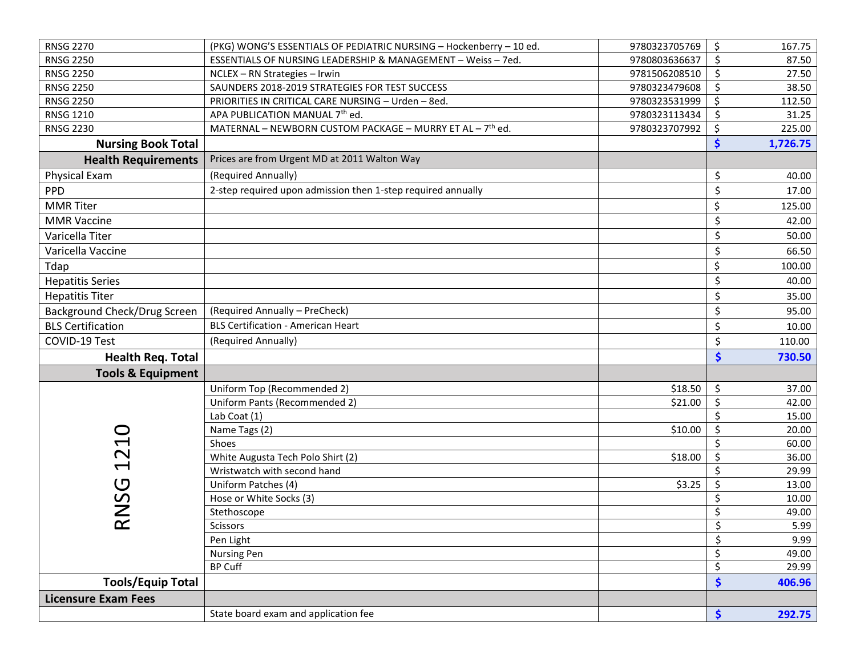| <b>RNSG 2270</b>             | (PKG) WONG'S ESSENTIALS OF PEDIATRIC NURSING - Hockenberry - 10 ed.   | 9780323705769 | \$ | 167.75   |
|------------------------------|-----------------------------------------------------------------------|---------------|----|----------|
| <b>RNSG 2250</b>             | ESSENTIALS OF NURSING LEADERSHIP & MANAGEMENT - Weiss - 7ed.          | 9780803636637 | \$ | 87.50    |
| <b>RNSG 2250</b>             | NCLEX - RN Strategies - Irwin                                         | 9781506208510 | Ŝ. | 27.50    |
| <b>RNSG 2250</b>             | SAUNDERS 2018-2019 STRATEGIES FOR TEST SUCCESS                        | 9780323479608 | Ś  | 38.50    |
| <b>RNSG 2250</b>             | PRIORITIES IN CRITICAL CARE NURSING - Urden - 8ed.                    | 9780323531999 | \$ | 112.50   |
| <b>RNSG 1210</b>             | APA PUBLICATION MANUAL 7th ed.                                        | 9780323113434 | \$ | 31.25    |
| <b>RNSG 2230</b>             | MATERNAL - NEWBORN CUSTOM PACKAGE - MURRY ET AL - 7 <sup>th</sup> ed. | 9780323707992 | \$ | 225.00   |
| <b>Nursing Book Total</b>    |                                                                       |               | \$ | 1,726.75 |
| <b>Health Requirements</b>   | Prices are from Urgent MD at 2011 Walton Way                          |               |    |          |
| <b>Physical Exam</b>         | (Required Annually)                                                   |               | \$ | 40.00    |
| <b>PPD</b>                   | 2-step required upon admission then 1-step required annually          |               | \$ | 17.00    |
| <b>MMR</b> Titer             |                                                                       |               | \$ | 125.00   |
| <b>MMR Vaccine</b>           |                                                                       |               | \$ | 42.00    |
| Varicella Titer              |                                                                       |               | \$ | 50.00    |
| Varicella Vaccine            |                                                                       |               | \$ | 66.50    |
| Tdap                         |                                                                       |               | \$ | 100.00   |
| <b>Hepatitis Series</b>      |                                                                       |               | \$ | 40.00    |
| <b>Hepatitis Titer</b>       |                                                                       |               | \$ | 35.00    |
| Background Check/Drug Screen | (Required Annually - PreCheck)                                        |               | \$ | 95.00    |
| <b>BLS Certification</b>     | <b>BLS Certification - American Heart</b>                             |               | Ś  | 10.00    |
| COVID-19 Test                | (Required Annually)                                                   |               | \$ | 110.00   |
| <b>Health Req. Total</b>     |                                                                       |               | \$ | 730.50   |
| <b>Tools &amp; Equipment</b> |                                                                       |               |    |          |
|                              | Uniform Top (Recommended 2)                                           | \$18.50       | \$ | 37.00    |
|                              | Uniform Pants (Recommended 2)                                         | \$21.00       | \$ | 42.00    |
|                              | Lab Coat (1)                                                          |               | \$ | 15.00    |
|                              | Name Tags (2)                                                         | \$10.00       | \$ | 20.00    |
| $\overline{\mathbf{C}}$      | Shoes                                                                 |               |    | 60.00    |
|                              | White Augusta Tech Polo Shirt (2)                                     | \$18.00       | \$ | 36.00    |
| $\overline{\phantom{0}}$     | Wristwatch with second hand                                           |               | \$ | 29.99    |
|                              | Uniform Patches (4)                                                   | \$3.25        | \$ | 13.00    |
| U<br>NS                      | Hose or White Socks (3)                                               |               | \$ | 10.00    |
|                              | Stethoscope                                                           |               | \$ | 49.00    |
| $\propto$                    | Scissors                                                              |               | Ş  | 5.99     |
|                              | Pen Light                                                             |               | \$ | 9.99     |
|                              | Nursing Pen                                                           |               | \$ | 49.00    |
|                              | <b>BP Cuff</b>                                                        |               | \$ | 29.99    |
| <b>Tools/Equip Total</b>     |                                                                       |               | \$ | 406.96   |
| <b>Licensure Exam Fees</b>   |                                                                       |               |    |          |
|                              | State board exam and application fee                                  |               | \$ | 292.75   |